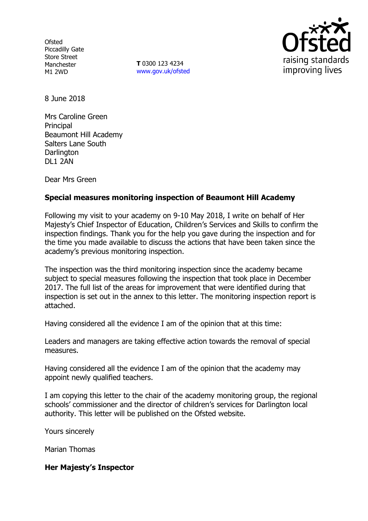**Ofsted** Piccadilly Gate Store Street Manchester M1 2WD

**T** 0300 123 4234 www.gov.uk/ofsted



8 June 2018

Mrs Caroline Green **Principal** Beaumont Hill Academy Salters Lane South **Darlington** DL1 2AN

Dear Mrs Green

# **Special measures monitoring inspection of Beaumont Hill Academy**

Following my visit to your academy on 9-10 May 2018, I write on behalf of Her Majesty's Chief Inspector of Education, Children's Services and Skills to confirm the inspection findings. Thank you for the help you gave during the inspection and for the time you made available to discuss the actions that have been taken since the academy's previous monitoring inspection.

The inspection was the third monitoring inspection since the academy became subject to special measures following the inspection that took place in December 2017. The full list of the areas for improvement that were identified during that inspection is set out in the annex to this letter. The monitoring inspection report is attached.

Having considered all the evidence I am of the opinion that at this time:

Leaders and managers are taking effective action towards the removal of special measures.

Having considered all the evidence I am of the opinion that the academy may appoint newly qualified teachers.

I am copying this letter to the chair of the academy monitoring group, the regional schools' commissioner and the director of children's services for Darlington local authority. This letter will be published on the Ofsted website.

Yours sincerely

Marian Thomas

### **Her Majesty's Inspector**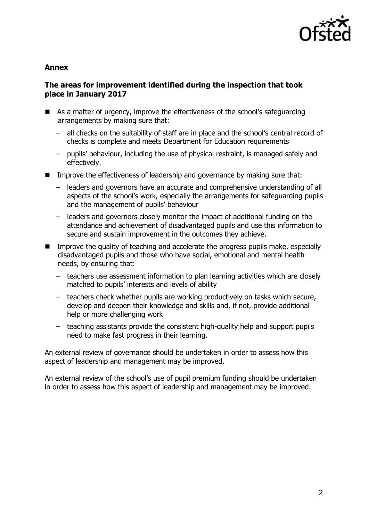

#### **Annex**

### **The areas for improvement identified during the inspection that took place in January 2017**

- As a matter of urgency, improve the effectiveness of the school's safeguarding arrangements by making sure that:
	- all checks on the suitability of staff are in place and the school's central record of checks is complete and meets Department for Education requirements
	- pupils' behaviour, including the use of physical restraint, is managed safely and effectively.
- **IMPROVE THE EFFECT INCOCES OF LEADER SHOW AND MAKE AND MAKING SUPER that:** 
	- leaders and governors have an accurate and comprehensive understanding of all aspects of the school's work, especially the arrangements for safeguarding pupils and the management of pupils' behaviour
	- leaders and governors closely monitor the impact of additional funding on the attendance and achievement of disadvantaged pupils and use this information to secure and sustain improvement in the outcomes they achieve.
- **IMPROVE THE GUALARY OF THE 2014** and accelerate the progress pupils make, especially disadvantaged pupils and those who have social, emotional and mental health needs, by ensuring that:
	- teachers use assessment information to plan learning activities which are closely matched to pupils' interests and levels of ability
	- teachers check whether pupils are working productively on tasks which secure, develop and deepen their knowledge and skills and, if not, provide additional help or more challenging work
	- teaching assistants provide the consistent high-quality help and support pupils need to make fast progress in their learning.

An external review of governance should be undertaken in order to assess how this aspect of leadership and management may be improved.

An external review of the school's use of pupil premium funding should be undertaken in order to assess how this aspect of leadership and management may be improved.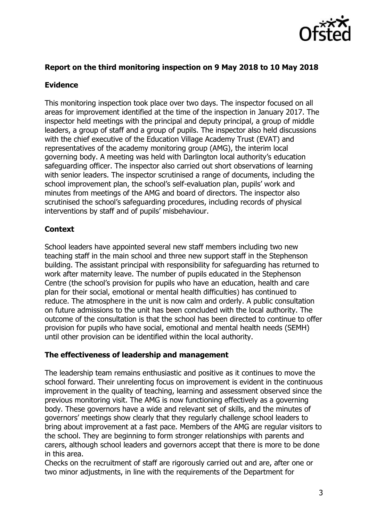

### **Report on the third monitoring inspection on 9 May 2018 to 10 May 2018**

### **Evidence**

This monitoring inspection took place over two days. The inspector focused on all areas for improvement identified at the time of the inspection in January 2017. The inspector held meetings with the principal and deputy principal, a group of middle leaders, a group of staff and a group of pupils. The inspector also held discussions with the chief executive of the Education Village Academy Trust (EVAT) and representatives of the academy monitoring group (AMG), the interim local governing body. A meeting was held with Darlington local authority's education safeguarding officer. The inspector also carried out short observations of learning with senior leaders. The inspector scrutinised a range of documents, including the school improvement plan, the school's self-evaluation plan, pupils' work and minutes from meetings of the AMG and board of directors. The inspector also scrutinised the school's safeguarding procedures, including records of physical interventions by staff and of pupils' misbehaviour.

# **Context**

School leaders have appointed several new staff members including two new teaching staff in the main school and three new support staff in the Stephenson building. The assistant principal with responsibility for safeguarding has returned to work after maternity leave. The number of pupils educated in the Stephenson Centre (the school's provision for pupils who have an education, health and care plan for their social, emotional or mental health difficulties) has continued to reduce. The atmosphere in the unit is now calm and orderly. A public consultation on future admissions to the unit has been concluded with the local authority. The outcome of the consultation is that the school has been directed to continue to offer provision for pupils who have social, emotional and mental health needs (SEMH) until other provision can be identified within the local authority.

### **The effectiveness of leadership and management**

The leadership team remains enthusiastic and positive as it continues to move the school forward. Their unrelenting focus on improvement is evident in the continuous improvement in the quality of teaching, learning and assessment observed since the previous monitoring visit. The AMG is now functioning effectively as a governing body. These governors have a wide and relevant set of skills, and the minutes of governors' meetings show clearly that they regularly challenge school leaders to bring about improvement at a fast pace. Members of the AMG are regular visitors to the school. They are beginning to form stronger relationships with parents and carers, although school leaders and governors accept that there is more to be done in this area.

Checks on the recruitment of staff are rigorously carried out and are, after one or two minor adjustments, in line with the requirements of the Department for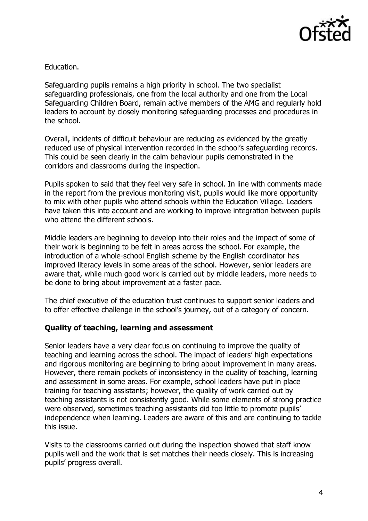

Education.

Safeguarding pupils remains a high priority in school. The two specialist safeguarding professionals, one from the local authority and one from the Local Safeguarding Children Board, remain active members of the AMG and regularly hold leaders to account by closely monitoring safeguarding processes and procedures in the school.

Overall, incidents of difficult behaviour are reducing as evidenced by the greatly reduced use of physical intervention recorded in the school's safeguarding records. This could be seen clearly in the calm behaviour pupils demonstrated in the corridors and classrooms during the inspection.

Pupils spoken to said that they feel very safe in school. In line with comments made in the report from the previous monitoring visit, pupils would like more opportunity to mix with other pupils who attend schools within the Education Village. Leaders have taken this into account and are working to improve integration between pupils who attend the different schools.

Middle leaders are beginning to develop into their roles and the impact of some of their work is beginning to be felt in areas across the school. For example, the introduction of a whole-school English scheme by the English coordinator has improved literacy levels in some areas of the school. However, senior leaders are aware that, while much good work is carried out by middle leaders, more needs to be done to bring about improvement at a faster pace.

The chief executive of the education trust continues to support senior leaders and to offer effective challenge in the school's journey, out of a category of concern.

### **Quality of teaching, learning and assessment**

Senior leaders have a very clear focus on continuing to improve the quality of teaching and learning across the school. The impact of leaders' high expectations and rigorous monitoring are beginning to bring about improvement in many areas. However, there remain pockets of inconsistency in the quality of teaching, learning and assessment in some areas. For example, school leaders have put in place training for teaching assistants; however, the quality of work carried out by teaching assistants is not consistently good. While some elements of strong practice were observed, sometimes teaching assistants did too little to promote pupils' independence when learning. Leaders are aware of this and are continuing to tackle this issue.

Visits to the classrooms carried out during the inspection showed that staff know pupils well and the work that is set matches their needs closely. This is increasing pupils' progress overall.